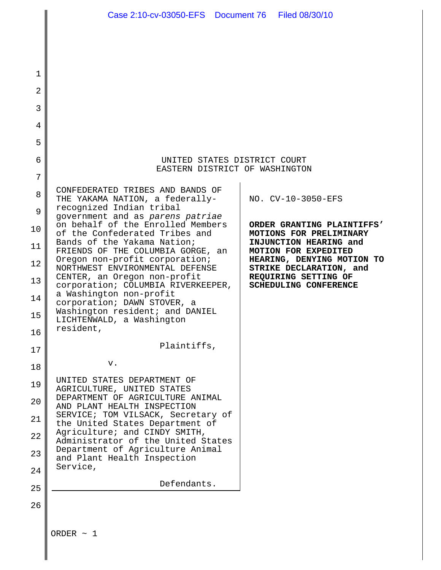|                | Case 2:10-cv-03050-EFS  Document 76  Filed 08/30/10                   |                                                       |
|----------------|-----------------------------------------------------------------------|-------------------------------------------------------|
|                |                                                                       |                                                       |
| $\mathbf 1$    |                                                                       |                                                       |
| $\overline{a}$ |                                                                       |                                                       |
| 3              |                                                                       |                                                       |
| 4              |                                                                       |                                                       |
| 5              |                                                                       |                                                       |
| 6              | UNITED STATES DISTRICT COURT                                          |                                                       |
| 7              | EASTERN DISTRICT OF WASHINGTON                                        |                                                       |
| 8              | CONFEDERATED TRIBES AND BANDS OF<br>THE YAKAMA NATION, a federally-   | NO. CV-10-3050-EFS                                    |
| 9              | recognized Indian tribal<br>government and as parens patriae          |                                                       |
| 10             | on behalf of the Enrolled Members<br>of the Confederated Tribes and   | ORDER GRANTING PLAINTIFFS'<br>MOTIONS FOR PRELIMINARY |
| 11             | Bands of the Yakama Nation;<br>FRIENDS OF THE COLUMBIA GORGE, an      | INJUNCTION HEARING and<br>MOTION FOR EXPEDITED        |
| 12             | Oregon non-profit corporation;<br>NORTHWEST ENVIRONMENTAL DEFENSE     | HEARING, DENYING MOTION TO<br>STRIKE DECLARATION, and |
| 13             | CENTER, an Oregon non-profit<br>corporation; COLUMBIA RIVERKEEPER,    | REQUIRING SETTING OF<br>SCHEDULING CONFERENCE         |
| 14             | a Washington non-profit<br>corporation; DAWN STOVER, a                |                                                       |
| 15             | Washington resident; and DANIEL<br>LICHTENWALD, a Washington          |                                                       |
| 16             | resident,                                                             |                                                       |
| 17             | Plaintiffs,                                                           |                                                       |
| 18             | v.                                                                    |                                                       |
| 19             | UNITED STATES DEPARTMENT OF<br>AGRICULTURE, UNITED STATES             |                                                       |
| 20             | DEPARTMENT OF AGRICULTURE ANIMAL<br>AND PLANT HEALTH INSPECTION       |                                                       |
| 21             | SERVICE; TOM VILSACK, Secretary of<br>the United States Department of |                                                       |
| 22             | Agriculture; and CINDY SMITH,<br>Administrator of the United States   |                                                       |
| 23             | Department of Agriculture Animal<br>and Plant Health Inspection       |                                                       |
| 24             | Service,                                                              |                                                       |
| 25             | Defendants.                                                           |                                                       |
| 26             |                                                                       |                                                       |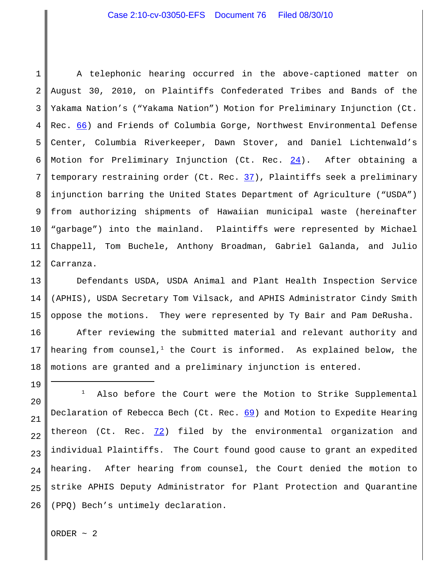1 2 3 4 5 6 7 8 9 10 11 12 A telephonic hearing occurred in the above-captioned matter on August 30, 2010, on Plaintiffs Confederated Tribes and Bands of the Yakama Nation's ("Yakama Nation") Motion for Preliminary Injunction (Ct. Rec. 66) and Friends of Columbia Gorge, Northwest Environmental Defense Center, Columbia Riverkeeper, Dawn Stover, and Daniel Lichtenwald's Motion for Preliminary Injunction (Ct. Rec.  $24$ ). After obtaining a temporary restraining order (Ct. Rec. 37), Plaintiffs seek a preliminary injunction barring the United States Department of Agriculture ("USDA") from authorizing shipments of Hawaiian municipal waste (hereinafter "garbage") into the mainland. Plaintiffs were represented by Michael Chappell, Tom Buchele, Anthony Broadman, Gabriel Galanda, and Julio Carranza.

13 14 15 Defendants USDA, USDA Animal and Plant Health Inspection Service (APHIS), USDA Secretary Tom Vilsack, and APHIS Administrator Cindy Smith oppose the motions. They were represented by Ty Bair and Pam DeRusha.

16 17 18 After reviewing the submitted material and relevant authority and hearing from counsel, $1$  the Court is informed. As explained below, the motions are granted and a preliminary injunction is entered.

20 21 22 23 24 25 26  $1$  Also before the Court were the Motion to Strike Supplemental Declaration of Rebecca Bech (Ct. Rec. 69) and Motion to Expedite Hearing thereon (Ct. Rec.  $72$ ) filed by the environmental organization and individual Plaintiffs. The Court found good cause to grant an expedited hearing. After hearing from counsel, the Court denied the motion to strike APHIS Deputy Administrator for Plant Protection and Quarantine (PPQ) Bech's untimely declaration.

ORDER  $\sim$  2

19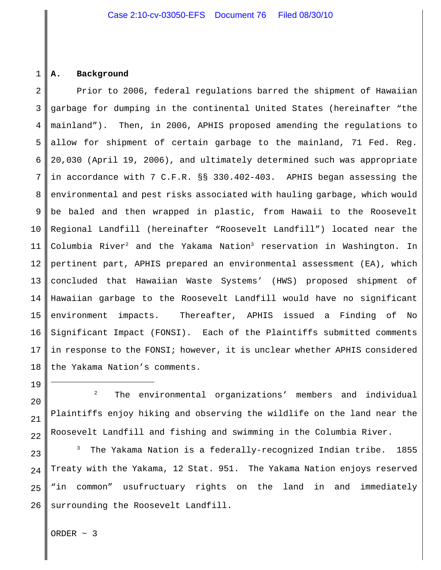#### 1 **A. Background**

2 3 4 5 6 7 8 9 10 11 12 13 14 15 16 17 18 Prior to 2006, federal regulations barred the shipment of Hawaiian garbage for dumping in the continental United States (hereinafter "the mainland"). Then, in 2006, APHIS proposed amending the regulations to allow for shipment of certain garbage to the mainland, 71 Fed. Reg. 20,030 (April 19, 2006), and ultimately determined such was appropriate in accordance with 7 C.F.R. §§ 330.402-403. APHIS began assessing the environmental and pest risks associated with hauling garbage, which would be baled and then wrapped in plastic, from Hawaii to the Roosevelt Regional Landfill (hereinafter "Roosevelt Landfill") located near the Columbia River $^2$  and the Yakama Nation $^3$  reservation in Washington. In pertinent part, APHIS prepared an environmental assessment (EA), which concluded that Hawaiian Waste Systems' (HWS) proposed shipment of Hawaiian garbage to the Roosevelt Landfill would have no significant environment impacts. Thereafter, APHIS issued a Finding of No Significant Impact (FONSI). Each of the Plaintiffs submitted comments in response to the FONSI; however, it is unclear whether APHIS considered the Yakama Nation's comments.

 2 The environmental organizations' members and individual Plaintiffs enjoy hiking and observing the wildlife on the land near the Roosevelt Landfill and fishing and swimming in the Columbia River.

25 26 3 The Yakama Nation is a federally-recognized Indian tribe. 1855 Treaty with the Yakama, 12 Stat. 951. The Yakama Nation enjoys reserved "in common" usufructuary rights on the land in and immediately surrounding the Roosevelt Landfill.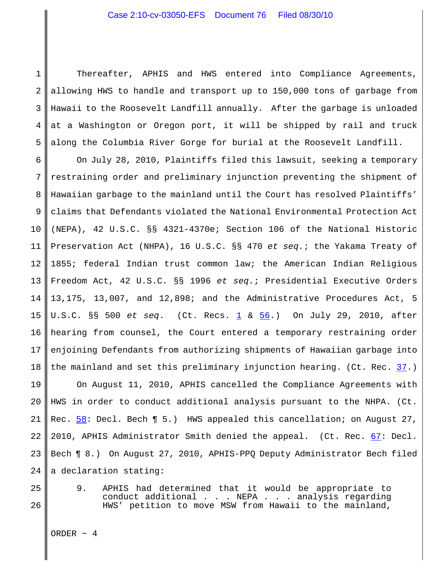1 2 3 4 5 Thereafter, APHIS and HWS entered into Compliance Agreements, allowing HWS to handle and transport up to 150,000 tons of garbage from Hawaii to the Roosevelt Landfill annually. After the garbage is unloaded at a Washington or Oregon port, it will be shipped by rail and truck along the Columbia River Gorge for burial at the Roosevelt Landfill.

6 7 8 9 10 11 12 13 14 15 16 17 18 On July 28, 2010, Plaintiffs filed this lawsuit, seeking a temporary restraining order and preliminary injunction preventing the shipment of Hawaiian garbage to the mainland until the Court has resolved Plaintiffs' claims that Defendants violated the National Environmental Protection Act (NEPA), 42 U.S.C. §§ 4321-4370e; Section 106 of the National Historic Preservation Act (NHPA), 16 U.S.C. §§ 470 *et seq.*; the Yakama Treaty of 1855; federal Indian trust common law; the American Indian Religious Freedom Act, 42 U.S.C. §§ 1996 *et seq.*; Presidential Executive Orders 13,175, 13,007, and 12,898; and the Administrative Procedures Act, 5 U.S.C. §§ 500 *et seq*. (Ct. Recs. 1 & 56.) On July 29, 2010, after hearing from counsel, the Court entered a temporary restraining order enjoining Defendants from authorizing shipments of Hawaiian garbage into the mainland and set this preliminary injunction hearing. (Ct. Rec. 37.)

19 20 21 22 23 24 On August 11, 2010, APHIS cancelled the Compliance Agreements with HWS in order to conduct additional analysis pursuant to the NHPA. (Ct. Rec.  $58:$  Decl. Bech  $\P 5.$ ) HWS appealed this cancellation; on August 27, 2010, APHIS Administrator Smith denied the appeal. (Ct. Rec. 67: Decl. Bech ¶ 8.) On August 27, 2010, APHIS-PPQ Deputy Administrator Bech filed a declaration stating:

9. APHIS had determined that it would be appropriate to conduct additional . . . NEPA . . . analysis regarding HWS' petition to move MSW from Hawaii to the mainland,

ORDER  $\sim$  4

25

26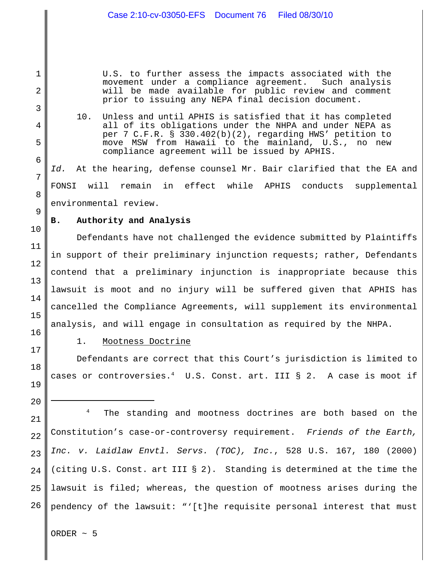U.S. to further assess the impacts associated with the movement under a compliance agreement. Such analysis will be made available for public review and comment prior to issuing any NEPA final decision document.

10. Unless and until APHIS is satisfied that it has completed all of its obligations under the NHPA and under NEPA as per 7 C.F.R. § 330.402(b)(2), regarding HWS' petition to move MSW from Hawaii to the mainland, U.S., no new compliance agreement will be issued by APHIS.

*Id.* At the hearing, defense counsel Mr. Bair clarified that the EA and FONSI will remain in effect while APHIS conducts supplemental environmental review.

# **B. Authority and Analysis**

Defendants have not challenged the evidence submitted by Plaintiffs in support of their preliminary injunction requests; rather, Defendants contend that a preliminary injunction is inappropriate because this lawsuit is moot and no injury will be suffered given that APHIS has cancelled the Compliance Agreements, will supplement its environmental analysis, and will engage in consultation as required by the NHPA.

1

2

3

4

5

6

7

8

9

10

11

12

13

14

15

16

17

18

19

20

## 1. Mootness Doctrine

Defendants are correct that this Court's jurisdiction is limited to cases or controversies.<sup>4</sup> U.S. Const. art. III § 2. A case is moot if

21 22 23 24 25 26 <sup>4</sup> The standing and mootness doctrines are both based on the Constitution's case-or-controversy requirement. *Friends of the Earth, Inc. v. Laidlaw Envtl. Servs. (TOC), Inc.*, 528 U.S. 167, 180 (2000) (citing U.S. Const. art III § 2). Standing is determined at the time the lawsuit is filed; whereas, the question of mootness arises during the pendency of the lawsuit: "'[t]he requisite personal interest that must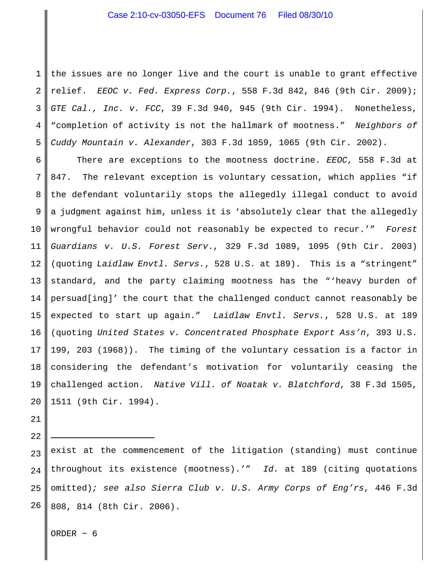1 2 3 4 5 the issues are no longer live and the court is unable to grant effective relief. *EEOC v. Fed. Express Corp.*, 558 F.3d 842, 846 (9th Cir. 2009); *GTE Cal., Inc. v. FCC*, 39 F.3d 940, 945 (9th Cir. 1994). Nonetheless, "completion of activity is not the hallmark of mootness." *Neighbors of Cuddy Mountain v. Alexander*, 303 F.3d 1059, 1065 (9th Cir. 2002).

6 7 8 9 10 11 12 13 14 15 16 17 18 19 20 There are exceptions to the mootness doctrine. *EEOC*, 558 F.3d at 847. The relevant exception is voluntary cessation, which applies "if the defendant voluntarily stops the allegedly illegal conduct to avoid a judgment against him, unless it is 'absolutely clear that the allegedly wrongful behavior could not reasonably be expected to recur.'" *Forest Guardians v. U.S. Forest Serv*., 329 F.3d 1089, 1095 (9th Cir. 2003) (quoting *Laidlaw Envtl. Servs.*, 528 U.S. at 189). This is a "stringent" standard, and the party claiming mootness has the "'heavy burden of persuad[ing]' the court that the challenged conduct cannot reasonably be expected to start up again." *Laidlaw Envtl. Servs.*, 528 U.S. at 189 (quoting *United States v. Concentrated Phosphate Export Ass'n*, 393 U.S. 199, 203 (1968)). The timing of the voluntary cessation is a factor in considering the defendant's motivation for voluntarily ceasing the challenged action. *Native Vill. of Noatak v. Blatchford*, 38 F.3d 1505, 1511 (9th Cir. 1994).

23 24 25 26 exist at the commencement of the litigation (standing) must continue throughout its existence (mootness).'" *Id.* at 189 (citing quotations omitted)*; see also Sierra Club v. U.S. Army Corps of Eng'rs*, 446 F.3d 808, 814 (8th Cir. 2006).

ORDER  $\sim$  6

21

22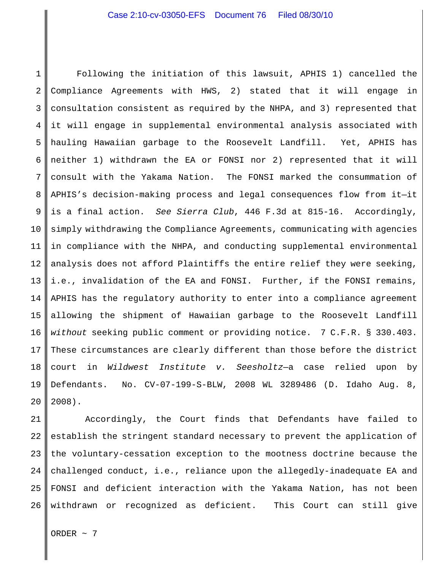1 2 3 4 5 6 7 8 9 10 11 12 13 14 15 16 17 18 19 20 Following the initiation of this lawsuit, APHIS 1) cancelled the Compliance Agreements with HWS, 2) stated that it will engage in consultation consistent as required by the NHPA, and 3) represented that it will engage in supplemental environmental analysis associated with hauling Hawaiian garbage to the Roosevelt Landfill. Yet, APHIS has neither 1) withdrawn the EA or FONSI nor 2) represented that it will consult with the Yakama Nation. The FONSI marked the consummation of APHIS's decision-making process and legal consequences flow from it—it is a final action. *See Sierra Club*, 446 F.3d at 815-16. Accordingly, simply withdrawing the Compliance Agreements, communicating with agencies in compliance with the NHPA, and conducting supplemental environmental analysis does not afford Plaintiffs the entire relief they were seeking, i.e., invalidation of the EA and FONSI. Further, if the FONSI remains, APHIS has the regulatory authority to enter into a compliance agreement allowing the shipment of Hawaiian garbage to the Roosevelt Landfill *without* seeking public comment or providing notice. 7 C.F.R. § 330.403. These circumstances are clearly different than those before the district court in *Wildwest Institute v. Seesholtz*—a case relied upon by Defendants. No. CV-07-199-S-BLW, 2008 WL 3289486 (D. Idaho Aug. 8, 2008).

21 22 23 24 25 26 Accordingly, the Court finds that Defendants have failed to establish the stringent standard necessary to prevent the application of the voluntary-cessation exception to the mootness doctrine because the challenged conduct, i.e., reliance upon the allegedly-inadequate EA and FONSI and deficient interaction with the Yakama Nation, has not been withdrawn or recognized as deficient. This Court can still give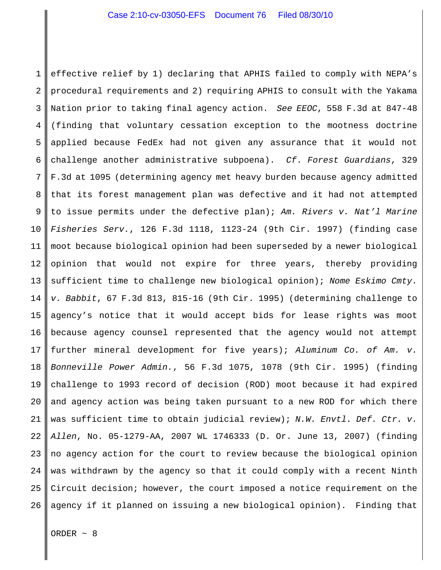1 2 3 4 5 6 7 8 9 10 11 12 13 14 15 16 17 18 19 20 21 22 23 24 25 26 effective relief by 1) declaring that APHIS failed to comply with NEPA's procedural requirements and 2) requiring APHIS to consult with the Yakama Nation prior to taking final agency action. *See EEOC*, 558 F.3d at 847-48 (finding that voluntary cessation exception to the mootness doctrine applied because FedEx had not given any assurance that it would not challenge another administrative subpoena). *Cf*. *Forest Guardians*, 329 F.3d at 1095 (determining agency met heavy burden because agency admitted that its forest management plan was defective and it had not attempted to issue permits under the defective plan); *Am. Rivers v. Nat'l Marine Fisheries Serv.*, 126 F.3d 1118, 1123-24 (9th Cir. 1997) (finding case moot because biological opinion had been superseded by a newer biological opinion that would not expire for three years, thereby providing sufficient time to challenge new biological opinion); *Nome Eskimo Cmty. v. Babbit*, 67 F.3d 813, 815-16 (9th Cir. 1995) (determining challenge to agency's notice that it would accept bids for lease rights was moot because agency counsel represented that the agency would not attempt further mineral development for five years); *Aluminum Co. of Am. v. Bonneville Power Admin.*, 56 F.3d 1075, 1078 (9th Cir. 1995) (finding challenge to 1993 record of decision (ROD) moot because it had expired and agency action was being taken pursuant to a new ROD for which there was sufficient time to obtain judicial review); *N.W. Envtl. Def. Ctr. v. Allen*, No. 05-1279-AA, 2007 WL 1746333 (D. Or. June 13, 2007) (finding no agency action for the court to review because the biological opinion was withdrawn by the agency so that it could comply with a recent Ninth Circuit decision; however, the court imposed a notice requirement on the agency if it planned on issuing a new biological opinion). Finding that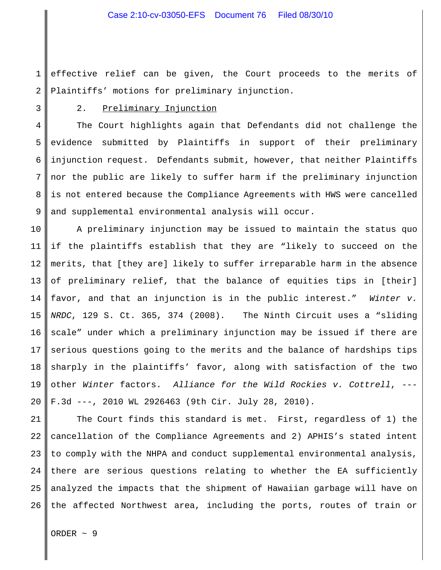1 2 effective relief can be given, the Court proceeds to the merits of Plaintiffs' motions for preliminary injunction.

3

# 2. Preliminary Injunction

4 5 6 7 8 9 The Court highlights again that Defendants did not challenge the evidence submitted by Plaintiffs in support of their preliminary injunction request. Defendants submit, however, that neither Plaintiffs nor the public are likely to suffer harm if the preliminary injunction is not entered because the Compliance Agreements with HWS were cancelled and supplemental environmental analysis will occur.

10 11 12 13 14 15 16 17 18 19 20 A preliminary injunction may be issued to maintain the status quo if the plaintiffs establish that they are "likely to succeed on the merits, that [they are] likely to suffer irreparable harm in the absence of preliminary relief, that the balance of equities tips in [their] favor, and that an injunction is in the public interest." *Winter v. NRDC*, 129 S. Ct. 365, 374 (2008)*.* The Ninth Circuit uses a "sliding scale" under which a preliminary injunction may be issued if there are serious questions going to the merits and the balance of hardships tips sharply in the plaintiffs' favor, along with satisfaction of the two other *Winter* factors. *Alliance for the Wild Rockies v. Cottrell*, --- F.3d ---, 2010 WL 2926463 (9th Cir. July 28, 2010).

21 22 23 24 25 26 The Court finds this standard is met. First, regardless of 1) the cancellation of the Compliance Agreements and 2) APHIS's stated intent to comply with the NHPA and conduct supplemental environmental analysis, there are serious questions relating to whether the EA sufficiently analyzed the impacts that the shipment of Hawaiian garbage will have on the affected Northwest area, including the ports, routes of train or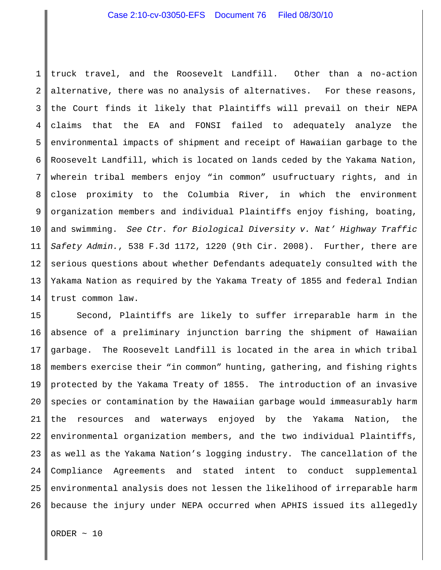1 2 3 4 5 6 7 8 9 10 11 12 13 14 truck travel, and the Roosevelt Landfill. Other than a no-action alternative, there was no analysis of alternatives. For these reasons, the Court finds it likely that Plaintiffs will prevail on their NEPA claims that the EA and FONSI failed to adequately analyze the environmental impacts of shipment and receipt of Hawaiian garbage to the Roosevelt Landfill, which is located on lands ceded by the Yakama Nation, wherein tribal members enjoy "in common" usufructuary rights, and in close proximity to the Columbia River, in which the environment organization members and individual Plaintiffs enjoy fishing, boating, and swimming. *See Ctr. for Biological Diversity v. Nat' Highway Traffic Safety Admin.*, 538 F.3d 1172, 1220 (9th Cir. 2008). Further, there are serious questions about whether Defendants adequately consulted with the Yakama Nation as required by the Yakama Treaty of 1855 and federal Indian trust common law.

15 16 17 18 19 20 21 22 23 24 25 26 Second, Plaintiffs are likely to suffer irreparable harm in the absence of a preliminary injunction barring the shipment of Hawaiian garbage. The Roosevelt Landfill is located in the area in which tribal members exercise their "in common" hunting, gathering, and fishing rights protected by the Yakama Treaty of 1855. The introduction of an invasive species or contamination by the Hawaiian garbage would immeasurably harm the resources and waterways enjoyed by the Yakama Nation, the environmental organization members, and the two individual Plaintiffs, as well as the Yakama Nation's logging industry. The cancellation of the Compliance Agreements and stated intent to conduct supplemental environmental analysis does not lessen the likelihood of irreparable harm because the injury under NEPA occurred when APHIS issued its allegedly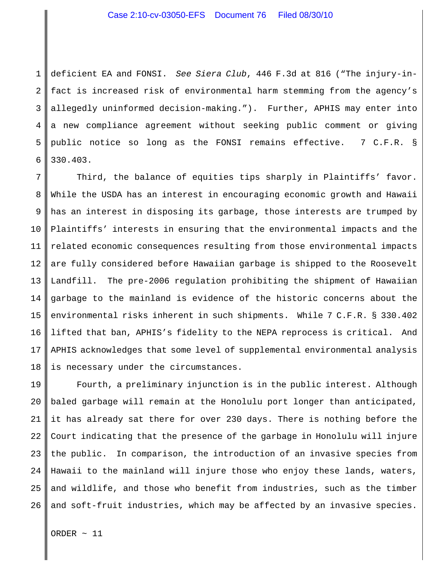## Case 2:10-cv-03050-EFS Document 76 Filed 08/30/10

1 2 3 4 5 6 deficient EA and FONSI. *See Siera Club*, 446 F.3d at 816 ("The injury-infact is increased risk of environmental harm stemming from the agency's allegedly uninformed decision-making."). Further, APHIS may enter into a new compliance agreement without seeking public comment or giving public notice so long as the FONSI remains effective. 7 C.F.R. § 330.403.

7 8 9 10 11 12 13 14 15 16 17 18 Third, the balance of equities tips sharply in Plaintiffs' favor. While the USDA has an interest in encouraging economic growth and Hawaii has an interest in disposing its garbage, those interests are trumped by Plaintiffs' interests in ensuring that the environmental impacts and the related economic consequences resulting from those environmental impacts are fully considered before Hawaiian garbage is shipped to the Roosevelt Landfill. The pre-2006 regulation prohibiting the shipment of Hawaiian garbage to the mainland is evidence of the historic concerns about the environmental risks inherent in such shipments. While 7 C.F.R. § 330.402 lifted that ban, APHIS's fidelity to the NEPA reprocess is critical. And APHIS acknowledges that some level of supplemental environmental analysis is necessary under the circumstances.

19 20 21 22 23 24 25 26 Fourth, a preliminary injunction is in the public interest. Although baled garbage will remain at the Honolulu port longer than anticipated, it has already sat there for over 230 days. There is nothing before the Court indicating that the presence of the garbage in Honolulu will injure the public. In comparison, the introduction of an invasive species from Hawaii to the mainland will injure those who enjoy these lands, waters, and wildlife, and those who benefit from industries, such as the timber and soft-fruit industries, which may be affected by an invasive species.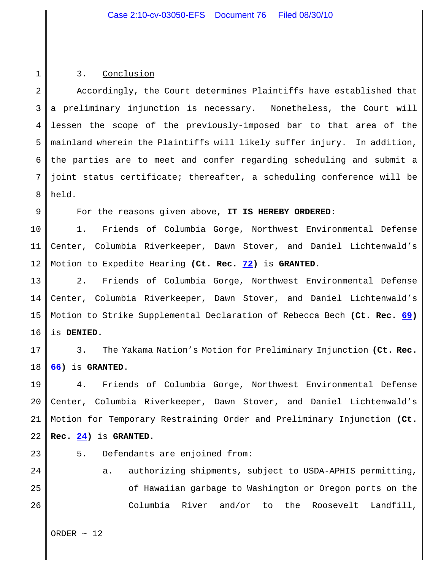#### 3. Conclusion

1

9

2 3 4 5 6 7 8 Accordingly, the Court determines Plaintiffs have established that a preliminary injunction is necessary. Nonetheless, the Court will lessen the scope of the previously-imposed bar to that area of the mainland wherein the Plaintiffs will likely suffer injury. In addition, the parties are to meet and confer regarding scheduling and submit a joint status certificate; thereafter, a scheduling conference will be held.

For the reasons given above, **IT IS HEREBY ORDERED**:

10 11 12 1. Friends of Columbia Gorge, Northwest Environmental Defense Center, Columbia Riverkeeper, Dawn Stover, and Daniel Lichtenwald's Motion to Expedite Hearing **(Ct. Rec. 72)** is **GRANTED**.

13 14 15 16 2. Friends of Columbia Gorge, Northwest Environmental Defense Center, Columbia Riverkeeper, Dawn Stover, and Daniel Lichtenwald's Motion to Strike Supplemental Declaration of Rebecca Bech **(Ct. Rec. 69)** is **DENIED.**

17 18 3. The Yakama Nation's Motion for Preliminary Injunction **(Ct. Rec. 66)** is **GRANTED**.

19 20 21 22 4. Friends of Columbia Gorge, Northwest Environmental Defense Center, Columbia Riverkeeper, Dawn Stover, and Daniel Lichtenwald's Motion for Temporary Restraining Order and Preliminary Injunction **(Ct. Rec. 24)** is **GRANTED**.

23

24

25

26

5. Defendants are enjoined from:

a. authorizing shipments, subject to USDA-APHIS permitting, of Hawaiian garbage to Washington or Oregon ports on the Columbia River and/or to the Roosevelt Landfill,